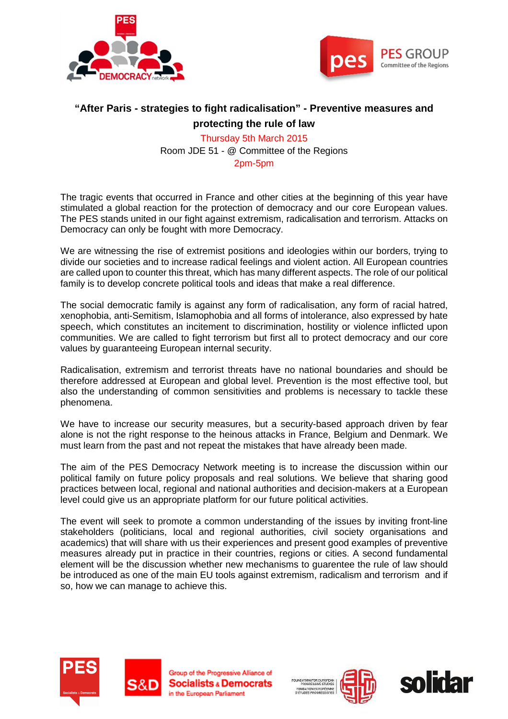



# **"After Paris - strategies to fight radicalisation" - Preventive measures and protecting the rule of law**

Thursday 5th March 2015 Room JDE 51 - @ Committee of the Regions 2pm-5pm

The tragic events that occurred in France and other cities at the beginning of this year have stimulated a global reaction for the protection of democracy and our core European values. The PES stands united in our fight against extremism, radicalisation and terrorism. Attacks on Democracy can only be fought with more Democracy.

We are witnessing the rise of extremist positions and ideologies within our borders, trying to divide our societies and to increase radical feelings and violent action. All European countries are called upon to counter this threat, which has many different aspects. The role of our political family is to develop concrete political tools and ideas that make a real difference.

The social democratic family is against any form of radicalisation, any form of racial hatred, xenophobia, anti-Semitism, Islamophobia and all forms of intolerance, also expressed by hate speech, which constitutes an incitement to discrimination, hostility or violence inflicted upon communities. We are called to fight terrorism but first all to protect democracy and our core values by guaranteeing European internal security.

Radicalisation, extremism and terrorist threats have no national boundaries and should be therefore addressed at European and global level. Prevention is the most effective tool, but also the understanding of common sensitivities and problems is necessary to tackle these phenomena.

We have to increase our security measures, but a security-based approach driven by fear alone is not the right response to the heinous attacks in France, Belgium and Denmark. We must learn from the past and not repeat the mistakes that have already been made.

The aim of the PES Democracy Network meeting is to increase the discussion within our political family on future policy proposals and real solutions. We believe that sharing good practices between local, regional and national authorities and decision-makers at a European level could give us an appropriate platform for our future political activities.

The event will seek to promote a common understanding of the issues by inviting front-line stakeholders (politicians, local and regional authorities, civil society organisations and academics) that will share with us their experiences and present good examples of preventive measures already put in practice in their countries, regions or cities. A second fundamental element will be the discussion whether new mechanisms to guarentee the rule of law should be introduced as one of the main EU tools against extremism, radicalism and terrorism and if so, how we can manage to achieve this.





Group of the Progressive Alliance of **Socialists & Democrats** in the European Parliament